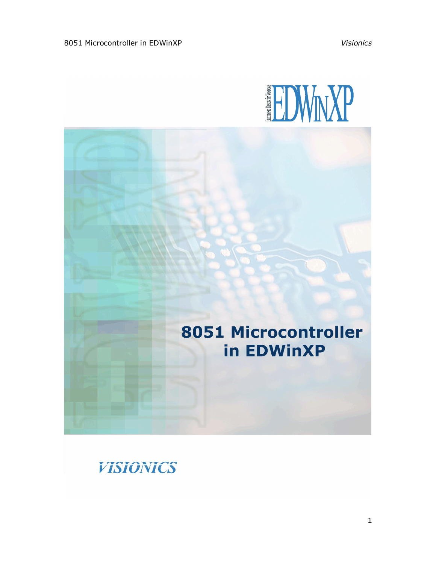

# 8051 Microcontroller in EDWinXP

**VISIONICS** 

1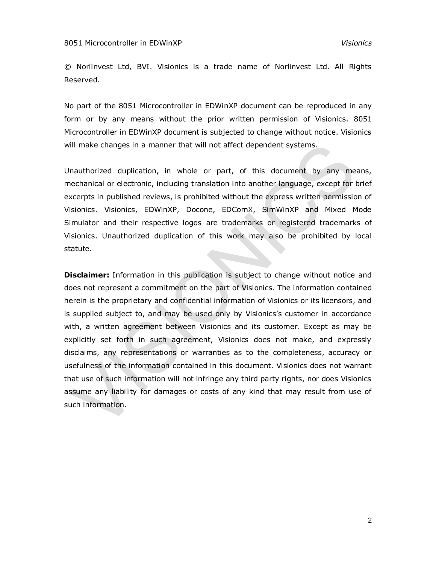© Norlinvest Ltd, BVI. Visionics is a trade name of Norlinvest Ltd. All Rights Reserved.

No part of the 8051 Microcontroller in EDWinXP document can be reproduced in any form or by any means without the prior written permission of Visionics. 8051 Microcontroller in EDWinXP document is subjected to change without notice. Visionics will make changes in a manner that will not affect dependent systems.

Unauthorized duplication, in whole or part, of this document by any means, mechanical or electronic, including translation into another language, except for brief excerpts in published reviews, is prohibited without the express written permission of Visionics. Visionics, EDWinXP, Docone, EDComX, SimWinXP and Mixed Mode Simulator and their respective logos are trademarks or registered trademarks of Visionics. Unauthorized duplication of this work may also be prohibited by local statute.

**Disclaimer:** Information in this publication is subject to change without notice and does not represent a commitment on the part of Visionics. The information contained herein is the proprietary and confidential information of Visionics or its licensors, and is supplied subject to, and may be used only by Visionics's customer in accordance with, a written agreement between Visionics and its customer. Except as may be explicitly set forth in such agreement, Visionics does not make, and expressly disclaims, any representations or warranties as to the completeness, accuracy or usefulness of the information contained in this document. Visionics does not warrant that use of such information will not infringe any third party rights, nor does Visionics assume any liability for damages or costs of any kind that may result from use of such information.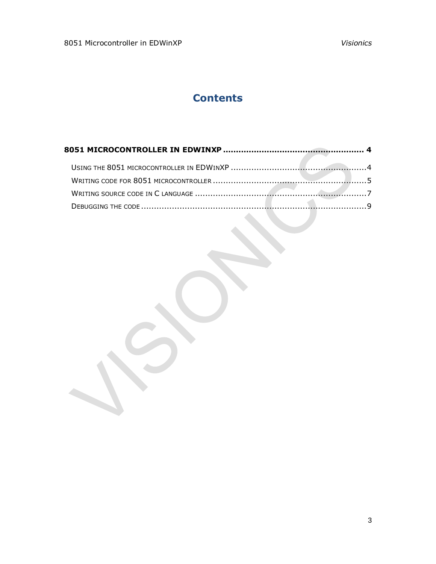# **Contents**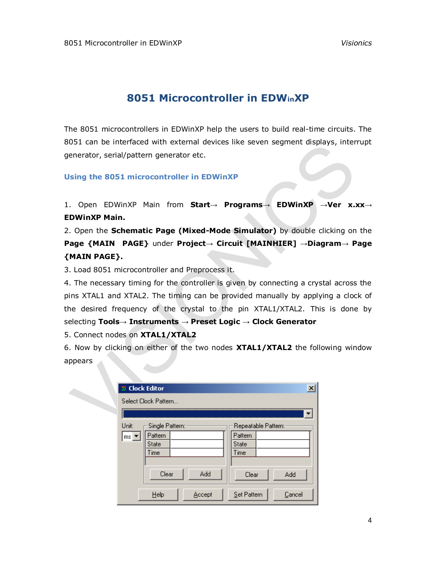# **8051 Microcontroller in EDWinXP**

<span id="page-3-0"></span>The 8051 microcontrollers in EDWinXP help the users to build real-time circuits. The 8051 can be interfaced with external devices like seven segment displays, interrupt generator, serial/pattern generator etc.

<span id="page-3-1"></span>**Using the 8051 microcontroller in EDWinXP**

1. Open EDWinXP Main from **Start→ Programs→ EDWinXP →Ver x.xx→ EDWinXP Main.**

2. Open the **Schematic Page (Mixed-Mode Simulator)** by double clicking on the **Page {MAIN PAGE}** under **Project→ Circuit [MAINHIER] →Diagram→ Page {MAIN PAGE}.**

3. Load 8051 microcontroller and Preprocess it.

4. The necessary timing for the controller is given by connecting a crystal across the pins XTAL1 and XTAL2. The timing can be provided manually by applying a clock of the desired frequency of the crystal to the pin XTAL1/XTAL2. This is done by selecting **Tools→ Instruments → Preset Logic → Clock Generator**

5. Connect nodes on **XTAL1/XTAL2**

6. Now by clicking on either of the two nodes **XTAL1/XTAL2** the following window appears

| 第 Clock Editor           |                      | $\overline{\mathbf{x}}$ |
|--------------------------|----------------------|-------------------------|
|                          | Select Clock Pattern |                         |
|                          |                      |                         |
| Unit:                    | Single Pattern:      | Repeatable Pattern:     |
| $ms \blacktriangleright$ | Pattern              | Pattern                 |
|                          | State                | State                   |
|                          | Time                 | Time                    |
|                          |                      |                         |
|                          | Add<br>Clear         | Add<br>Clear            |
|                          | Help<br>Accept       | Set Pattern<br>Cancel   |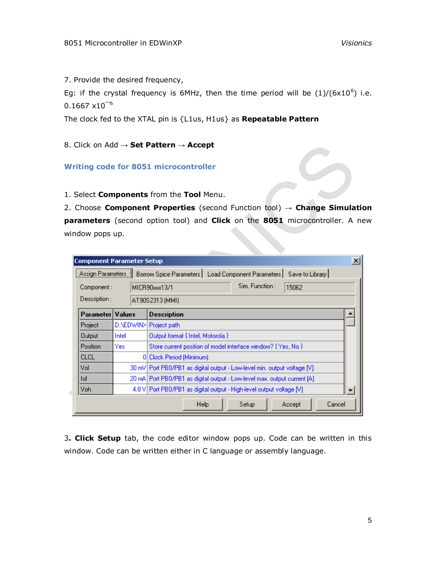7. Provide the desired frequency,

Eg: if the crystal frequency is  $6$ MHz, then the time period will be  $(1)/(6x10^6)$  i.e.  $0.1667 \times 10^{-6}$ 

The clock fed to the XTAL pin is {L1us, H1us} as **Repeatable Pattern**

8. Click on Add → **Set Pattern** → **Accept**

<span id="page-4-0"></span>**Writing code for 8051 microcontroller**

1. Select **Components** from the **Tool** Menu.

2. Choose **Component Properties** (second Function tool) → **Change Simulation parameters** (second option tool) and **Click** on the **8051** microcontroller. A new window pops up.

| <b>Component Parameter Setup</b>                                                              |                            |                                                                          |  |  |  |  |  |  |  |
|-----------------------------------------------------------------------------------------------|----------------------------|--------------------------------------------------------------------------|--|--|--|--|--|--|--|
| Borrow Spice Parameters   Load Component Parameters  <br>Save to Library<br>Assign Parameters |                            |                                                                          |  |  |  |  |  |  |  |
| Component :                                                                                   |                            | Sim. Function:<br>15062<br>MICR90xxx13/1                                 |  |  |  |  |  |  |  |
| Description :<br>AT90S2313 (MMI)                                                              |                            |                                                                          |  |  |  |  |  |  |  |
| Parameter Values                                                                              |                            | <b>Description</b>                                                       |  |  |  |  |  |  |  |
| Project                                                                                       | D:\EDWIN>I<br>Project path |                                                                          |  |  |  |  |  |  |  |
| Output                                                                                        | Intel                      | Output format { Intel, Motorola }                                        |  |  |  |  |  |  |  |
| Position                                                                                      | Yes                        | Store current position of model interface window? { Yes, No }            |  |  |  |  |  |  |  |
| <b>CLCL</b>                                                                                   |                            | 0 Clock Period (Minimum)                                                 |  |  |  |  |  |  |  |
| Vol                                                                                           |                            | 30 mV Port PB0/PB1 as digital output - Low-level min. output voltage [V] |  |  |  |  |  |  |  |
| lol                                                                                           |                            | 20 mA Port PB0/PB1 as digital output - Low-level max, output current [A] |  |  |  |  |  |  |  |
| Voh                                                                                           |                            | 4.8 V Port PB0/PB1 as digital output - High-level output voltage [V]     |  |  |  |  |  |  |  |
|                                                                                               |                            | Cancel<br>Help<br>Setup<br>Accept                                        |  |  |  |  |  |  |  |

3**. Click Setup** tab, the code editor window pops up. Code can be written in this window. Code can be written either in C language or assembly language.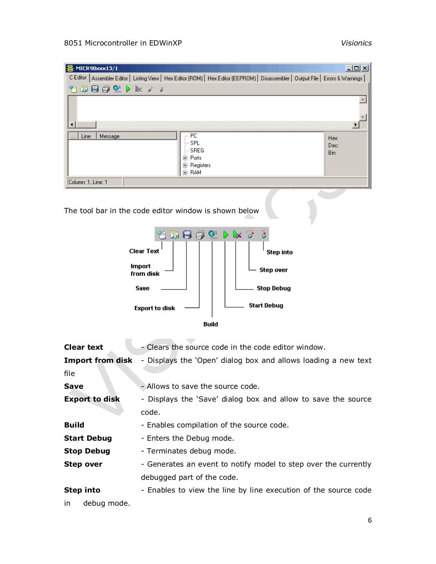## 8051 Microcontroller in EDWinXP *Visionics*

| C Editor   Assembler Editor   Listing View   Hex Editor (ROM)   Hex Editor (EEPROM)   Disassembler   Output File   Errors & Warnings<br>$\mathbf{G}$<br>竹羽目<br>De la<br>耳<br>$\blacksquare$<br>PC.<br>Line<br>Message<br>Hex:<br>- SPL<br>Dec:<br>- SREG<br>Bin:<br>⊞⊹ Ports<br>田· Registers<br>由· RAM<br>Column: 1, Line: 1<br>The tool bar in the code editor window is shown below<br>$\mathbb{G}$ Dx $\mathbb{F}$<br>ð<br>英日旬<br><b>Clear Text</b><br>Step into<br>Import<br><b>Step over</b><br>from disk<br><b>Stop Debug</b><br>Save<br><b>Start Debug</b><br><b>Export to disk</b><br><b>Build</b><br><b>Clear text</b><br>- Clears the source code in the code editor window.<br><b>Import from disk</b><br>file<br>- Allows to save the source code.<br><b>Save</b> |
|-------------------------------------------------------------------------------------------------------------------------------------------------------------------------------------------------------------------------------------------------------------------------------------------------------------------------------------------------------------------------------------------------------------------------------------------------------------------------------------------------------------------------------------------------------------------------------------------------------------------------------------------------------------------------------------------------------------------------------------------------------------------------------|
| - Displays the 'Open' dialog box and allows loading a new text                                                                                                                                                                                                                                                                                                                                                                                                                                                                                                                                                                                                                                                                                                                |
|                                                                                                                                                                                                                                                                                                                                                                                                                                                                                                                                                                                                                                                                                                                                                                               |
|                                                                                                                                                                                                                                                                                                                                                                                                                                                                                                                                                                                                                                                                                                                                                                               |
|                                                                                                                                                                                                                                                                                                                                                                                                                                                                                                                                                                                                                                                                                                                                                                               |
|                                                                                                                                                                                                                                                                                                                                                                                                                                                                                                                                                                                                                                                                                                                                                                               |
|                                                                                                                                                                                                                                                                                                                                                                                                                                                                                                                                                                                                                                                                                                                                                                               |
|                                                                                                                                                                                                                                                                                                                                                                                                                                                                                                                                                                                                                                                                                                                                                                               |
|                                                                                                                                                                                                                                                                                                                                                                                                                                                                                                                                                                                                                                                                                                                                                                               |
|                                                                                                                                                                                                                                                                                                                                                                                                                                                                                                                                                                                                                                                                                                                                                                               |
|                                                                                                                                                                                                                                                                                                                                                                                                                                                                                                                                                                                                                                                                                                                                                                               |
|                                                                                                                                                                                                                                                                                                                                                                                                                                                                                                                                                                                                                                                                                                                                                                               |
|                                                                                                                                                                                                                                                                                                                                                                                                                                                                                                                                                                                                                                                                                                                                                                               |
|                                                                                                                                                                                                                                                                                                                                                                                                                                                                                                                                                                                                                                                                                                                                                                               |
|                                                                                                                                                                                                                                                                                                                                                                                                                                                                                                                                                                                                                                                                                                                                                                               |
|                                                                                                                                                                                                                                                                                                                                                                                                                                                                                                                                                                                                                                                                                                                                                                               |
|                                                                                                                                                                                                                                                                                                                                                                                                                                                                                                                                                                                                                                                                                                                                                                               |
| <b>Export to disk</b><br>- Displays the 'Save' dialog box and allow to save the source                                                                                                                                                                                                                                                                                                                                                                                                                                                                                                                                                                                                                                                                                        |
| code.                                                                                                                                                                                                                                                                                                                                                                                                                                                                                                                                                                                                                                                                                                                                                                         |
| <b>Build</b><br>- Enables compilation of the source code.                                                                                                                                                                                                                                                                                                                                                                                                                                                                                                                                                                                                                                                                                                                     |
| - Enters the Debug mode.<br><b>Start Debug</b>                                                                                                                                                                                                                                                                                                                                                                                                                                                                                                                                                                                                                                                                                                                                |
|                                                                                                                                                                                                                                                                                                                                                                                                                                                                                                                                                                                                                                                                                                                                                                               |
| <b>Stop Debug</b><br>- Terminates debug mode.                                                                                                                                                                                                                                                                                                                                                                                                                                                                                                                                                                                                                                                                                                                                 |
| <b>Step over</b>                                                                                                                                                                                                                                                                                                                                                                                                                                                                                                                                                                                                                                                                                                                                                              |
| - Generates an event to notify model to step over the currently<br>debugged part of the code.                                                                                                                                                                                                                                                                                                                                                                                                                                                                                                                                                                                                                                                                                 |
| Step into<br>- Enables to view the line by line execution of the source code                                                                                                                                                                                                                                                                                                                                                                                                                                                                                                                                                                                                                                                                                                  |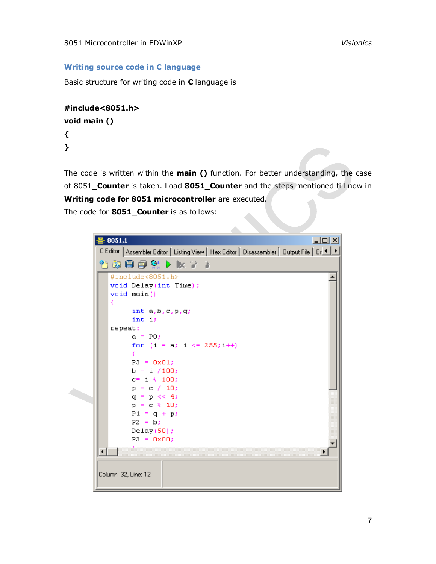## **Writing source code in C language**

<span id="page-6-0"></span>Basic structure for writing code in **C** language is

```
#include<8051.h>
void main ()
{
```
**}**

The code is written within the **main ()** function. For better understanding, the case of 8051**\_Counter** is taken. Load **8051\_Counter** and the steps mentioned till now in **Writing code for 8051 microcontroller** are executed.

 $\mathcal{L}_{\mathcal{A}}$ 

The code for **8051\_Counter** is as follows:

|  | $\Box$<br>疂 8051,1                                                                                                                                                                                                                                                             |  |
|--|--------------------------------------------------------------------------------------------------------------------------------------------------------------------------------------------------------------------------------------------------------------------------------|--|
|  | C Editor   Assembler Editor   Listing View   Hex Editor   Disassembler   Output File   Er ◀ ▶                                                                                                                                                                                  |  |
|  | 省英国国贸 D x 2 2                                                                                                                                                                                                                                                                  |  |
|  | #include<8051.h><br>void Delay(int Time);<br>void main()<br>int $a, b, c, p, q$ ;<br>int i;<br>repeat:<br>$a = PO$ :<br>for $(i = a; i \le 255; i++)$<br>Ŧ.<br>$P3 = 0x01$<br>$b = i / 100$ ;<br>$c = i$ % 100;<br>$p = c / 10$ ;<br>$q = p \ll 4$ ;<br>$p = c$ $\frac{10}{2}$ |  |
|  | $P1 = q + p$ ;<br>$P2 = b$ :<br>Delay(50);<br>$P3 = 0x00;$<br>Column: 32, Line: 12                                                                                                                                                                                             |  |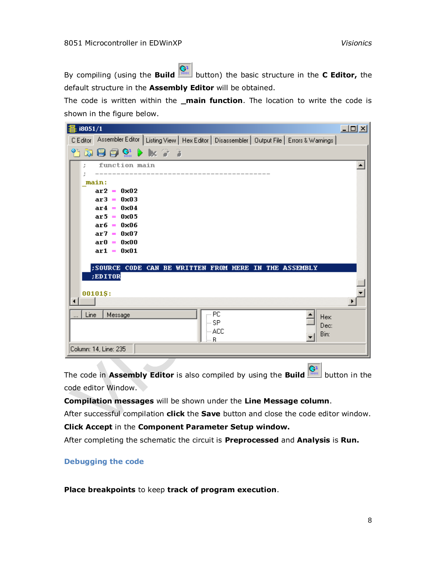By compiling (using the **Build** button) the basic structure in the **C Editor,** the default structure in the **Assembly Editor** will be obtained.

The code is written within the **\_main function**. The location to write the code is shown in the figure below.

| 賽 i8051/1 |                                                                                                        | $-12X$ |
|-----------|--------------------------------------------------------------------------------------------------------|--------|
|           | C Editor Assembler Editor   Listing View   Hex Editor   Disassembler   Output File   Errors & Warnings |        |
|           | 省政国国贸 D bx 2 2                                                                                         |        |
| ž.        | function main                                                                                          |        |
|           | main:                                                                                                  |        |
|           | $ar2 = 0x02$                                                                                           |        |
|           | $ar3 = 0x03$                                                                                           |        |
|           | $ar4 = 0x04$<br>$ar5 = 0x05$                                                                           |        |
|           | $\text{ar}6 = 0 \times 06$                                                                             |        |
|           | $ar7 = 0x07$                                                                                           |        |
|           | $\text{ar}0 = 0 \times 00$<br>$ar1 = 0x01$                                                             |        |
|           |                                                                                                        |        |
|           | ; SOURCE CODE CAN BE WRITTEN FROM HERE IN THE ASSEMBLY<br>:EDITOR                                      |        |
|           |                                                                                                        |        |
|           | 00101\$:                                                                                               |        |
|           |                                                                                                        |        |
| Line      | PC<br>Message<br>Hex:<br>∣— SP                                                                         |        |
|           | Dec:<br>⊸ ACC<br>Bin:                                                                                  |        |
|           | R                                                                                                      |        |
|           | Column: 14, Line: 235                                                                                  |        |

The code in **Assembly Editor** is also compiled by using the **Build** button in the code editor Window.

**Compilation messages** will be shown under the **Line Message column**.

After successful compilation **click** the **Save** button and close the code editor window.

**Click Accept** in the **Component Parameter Setup window.**

After completing the schematic the circuit is **Preprocessed** and **Analysis** is **Run.**

### <span id="page-7-0"></span>**Debugging the code**

**Place breakpoints** to keep **track of program execution**.